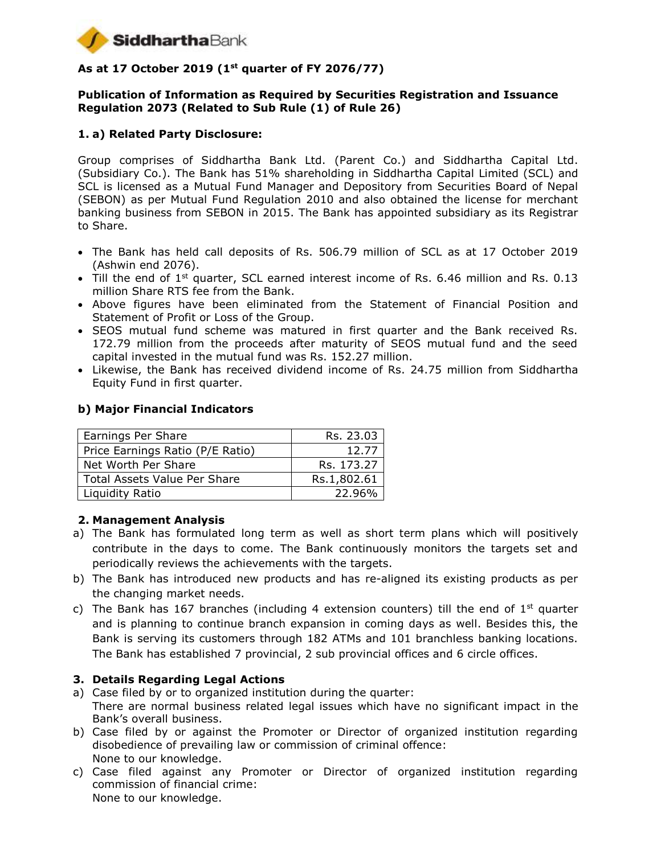

# **As at 17 October 2019 (1st quarter of FY 2076/77)**

#### **Publication of Information as Required by Securities Registration and Issuance Regulation 2073 (Related to Sub Rule (1) of Rule 26)**

## **1. a) Related Party Disclosure:**

Group comprises of Siddhartha Bank Ltd. (Parent Co.) and Siddhartha Capital Ltd. (Subsidiary Co.). The Bank has 51% shareholding in Siddhartha Capital Limited (SCL) and SCL is licensed as a Mutual Fund Manager and Depository from Securities Board of Nepal (SEBON) as per Mutual Fund Regulation 2010 and also obtained the license for merchant banking business from SEBON in 2015. The Bank has appointed subsidiary as its Registrar to Share.

- The Bank has held call deposits of Rs. 506.79 million of SCL as at 17 October 2019 (Ashwin end 2076).
- $\bullet$  Till the end of 1<sup>st</sup> quarter, SCL earned interest income of Rs. 6.46 million and Rs. 0.13 million Share RTS fee from the Bank.
- Above figures have been eliminated from the Statement of Financial Position and Statement of Profit or Loss of the Group.
- SEOS mutual fund scheme was matured in first quarter and the Bank received Rs. 172.79 million from the proceeds after maturity of SEOS mutual fund and the seed capital invested in the mutual fund was Rs. 152.27 million.
- Likewise, the Bank has received dividend income of Rs. 24.75 million from Siddhartha Equity Fund in first quarter.

#### **b) Major Financial Indicators**

| Earnings Per Share                  | Rs. 23.03   |
|-------------------------------------|-------------|
| Price Earnings Ratio (P/E Ratio)    | 12.77       |
| Net Worth Per Share                 | Rs. 173.27  |
| <b>Total Assets Value Per Share</b> | Rs.1,802.61 |
| Liquidity Ratio                     | 22.96%      |

#### **2. Management Analysis**

- a) The Bank has formulated long term as well as short term plans which will positively contribute in the days to come. The Bank continuously monitors the targets set and periodically reviews the achievements with the targets.
- b) The Bank has introduced new products and has re-aligned its existing products as per the changing market needs.
- c) The Bank has 167 branches (including 4 extension counters) till the end of  $1<sup>st</sup>$  quarter and is planning to continue branch expansion in coming days as well. Besides this, the Bank is serving its customers through 182 ATMs and 101 branchless banking locations. The Bank has established 7 provincial, 2 sub provincial offices and 6 circle offices.

#### **3. Details Regarding Legal Actions**

- a) Case filed by or to organized institution during the quarter: There are normal business related legal issues which have no significant impact in the Bank's overall business.
- b) Case filed by or against the Promoter or Director of organized institution regarding disobedience of prevailing law or commission of criminal offence: None to our knowledge.
- c) Case filed against any Promoter or Director of organized institution regarding commission of financial crime: None to our knowledge.